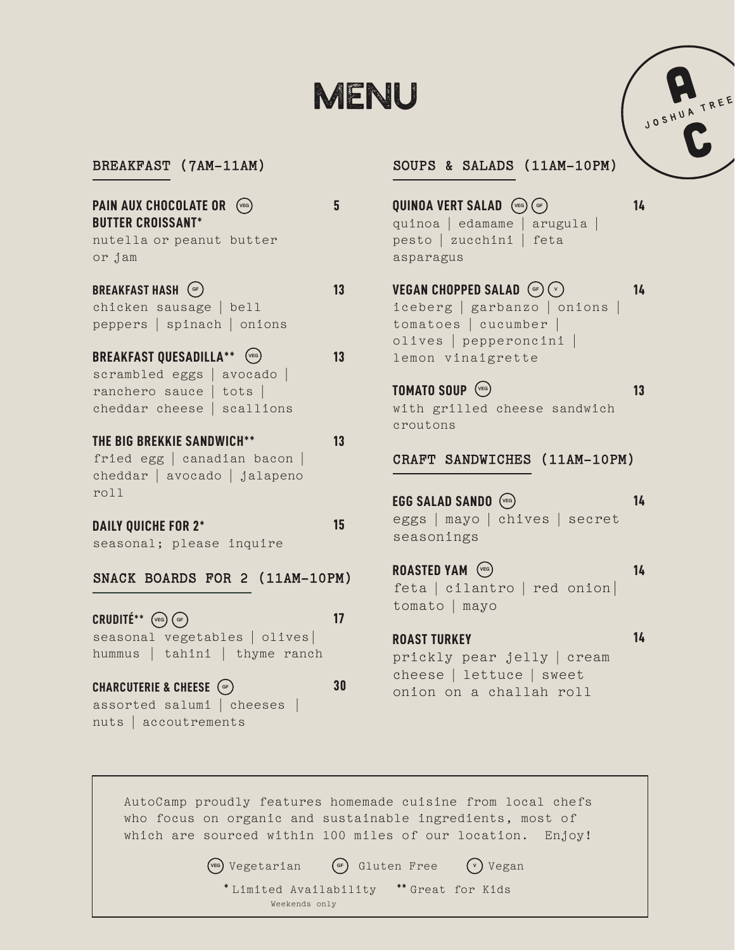# MENU

BREAKFAST (7AM-11AM)

| <b>PAIN AUX CHOCOLATE OR</b><br>(VEG<br><b>BUTTER CROISSANT*</b> |    |
|------------------------------------------------------------------|----|
| nutella or peanut butter<br>or jam                               |    |
| <b>BREAKFAST HASH</b> (GF)<br>chicken sausage   bell             | 13 |
| peppers   spinach   onions                                       |    |
| <b>BREAKFAST QUESADILLA**</b><br>$(v_{EG})$                      | 13 |
| scrambled eggs   avocado                                         |    |
| ranchero sauce   tots                                            |    |
| cheddar cheese   scallions                                       |    |
| <b>THE BIG BREKKIE SANDWICH</b>                                  |    |

fried egg | canadian bacon | cheddar | avocado | jalapeno roll

#### **DAILY QUICHE FOR 2\***

seasonal; please inquire

### SNACK BOARDS FOR 2 (11AM-10PM)

 $CRUDITÉ**$   $\left(\begin{smallmatrix} \vee & \infty \ \end{smallmatrix}\right)$   $\left(\begin{smallmatrix} \infty & \infty \ \end{smallmatrix}\right)$ seasonal vegetables | olives| hummus | tahini | thyme ranch **17**

**CHARCUTERIE & CHEESE GF** assorted salumi | cheeses | nuts | accoutrements

### SOUPS & SALADS (11AM-10PM)

- **QUINOA VERT SALAD VEG GF** quinoa | edamame | arugula | pesto | zucchini | feta asparagus
- **VEGAN CHOPPED SALAD GF V** iceberg | garbanzo | onions | tomatoes | cucumber | olives | pepperoncini | lemon vinaigrette **14**

**TOMATO SOUP VEG** with grilled cheese sandwich croutons **13**

### CRAFT SANDWICHES (11AM-10PM)

**EGG SALAD SANDO VEG** eggs | mayo | chives | secret seasonings **14**

**ROASTED YAM**  $\sqrt{vec}$ feta | cilantro | red onion| tomato | mayo **14**

### **ROAST TURKEY** prickly pear jelly | cream cheese | lettuce | sweet onion on a challah roll

AutoCamp proudly features homemade cuisine from local chefs who focus on organic and sustainable ingredients, most of which are sourced within 100 miles of our location. Enjoy!

**15**

**30**

**VEG** Vegetarian **GF** Gluten Free **<sup>V</sup>** Vegan **\*** Limited Availability **\*\*** Great for Kids Weekends only



**14**

**14**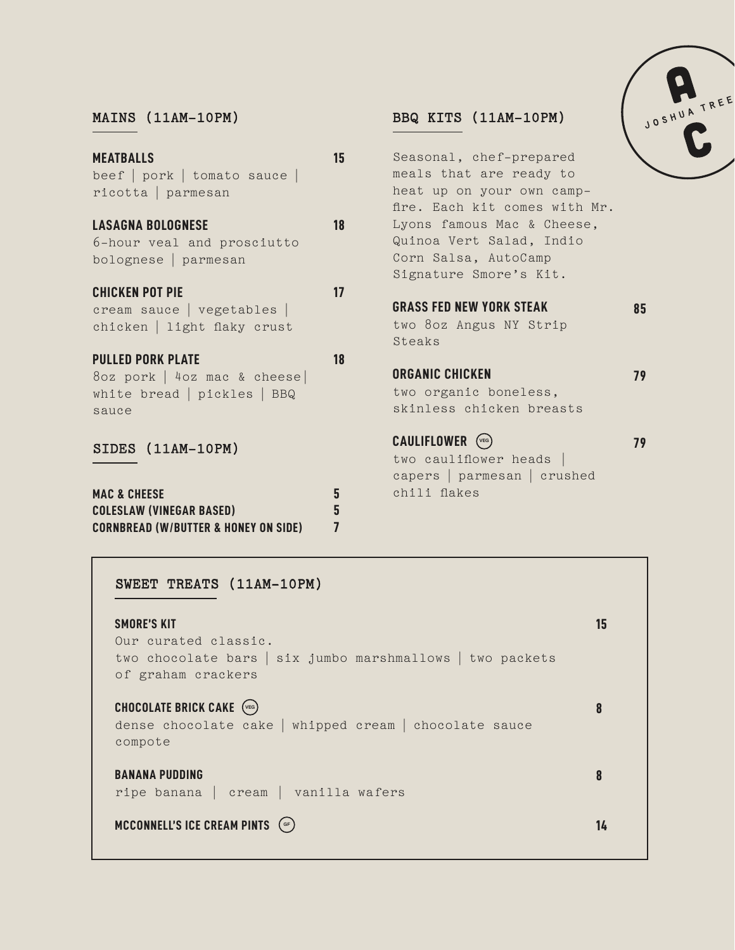### MAINS (11AM-10PM)

| <b>MEATBALLS</b>                                | 15 | Seasonal, chef-prepared                                    |    |
|-------------------------------------------------|----|------------------------------------------------------------|----|
| beef $ $ pork $ $ tomato sauce $ $              |    | meals that are ready to                                    |    |
| $ricotta$   parmesan                            |    | heat up on your own camp-<br>fire. Each kit comes with Mr. |    |
| <b>LASAGNA BOLOGNESE</b>                        | 18 | Lyons famous Mac & Cheese,                                 |    |
| 6-hour veal and prosciutto                      |    | Quinoa Vert Salad, Indio                                   |    |
| bolognese parmesan                              |    | Corn Salsa, AutoCamp                                       |    |
|                                                 |    | Signature Smore's Kit.                                     |    |
| <b>CHICKEN POT PIE</b>                          | 17 |                                                            |    |
| cream sauce   vegetables                        |    | <b>GRASS FED NEW YORK STEAK</b>                            | 85 |
| chicken   light flaky crust                     |    | two 80z Angus NY Strip                                     |    |
|                                                 |    | Steaks                                                     |    |
| <b>PULLED PORK PLATE</b>                        | 18 |                                                            |    |
| 8oz pork   4oz mac & cheese                     |    | <b>ORGANIC CHICKEN</b>                                     | 79 |
| white bread   pickles   BBQ                     |    | two organic boneless,                                      |    |
| sauce                                           |    | skinless chicken breasts                                   |    |
| SIDES (11AM-10PM)                               |    | CAULIFLOWER (VEG)                                          | 79 |
|                                                 |    | two cauliflower heads $ $                                  |    |
|                                                 |    | capers   parmesan   crushed                                |    |
| <b>MAC &amp; CHEESE</b>                         | 5  | chili flakes                                               |    |
| <b>COLESLAW (VINEGAR BASED)</b>                 | 5  |                                                            |    |
| <b>CORNBREAD (W/BUTTER &amp; HONEY ON SIDE)</b> |    |                                                            |    |

BBQ KITS (11AM-10PM)

### SWEET TREATS (11AM-10PM)

| <b>SMORE'S KIT</b><br>Our curated classic.<br>two chocolate bars   six jumbo marshmallows   two packets<br>of graham crackers | 15 |
|-------------------------------------------------------------------------------------------------------------------------------|----|
| CHOCOLATE BRICK CAKE (VEG)<br>dense chocolate cake   whipped cream   chocolate sauce<br>compote                               |    |
| <b>BANANA PUDDING</b><br>ripe banana   cream   vanilla wafers                                                                 | 8  |
| MCCONNELL'S ICE CREAM PINTS (GF)                                                                                              | 14 |

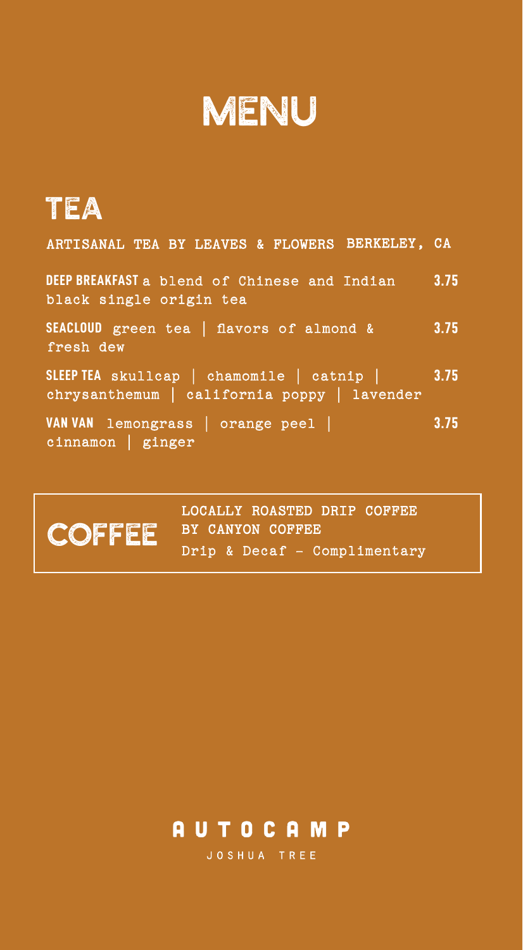# MENU

# TEA

| ARTISANAL TEA BY LEAVES & FLOWERS BERKELEY, CA                                                |      |
|-----------------------------------------------------------------------------------------------|------|
| DEEP BREAKFAST a blend of Chinese and Indian<br>black single origin tea                       | 3.75 |
| SEACLOUD green tea [ flavors of almond &<br>fresh dew                                         | 3.75 |
| SLEEP TEA skullcap   chamomile   catnip   3.75<br>chrysanthemum   california poppy   lavender |      |
| VAN VAN lemongrass   orange peel  <br>$cinnamon$ ginger                                       | 3.75 |

LOCALLY ROASTED DRIP COFFEE COFFEE BY CANYON COFFEE Drip & Decaf - Complimentary

## **AUTOCAMP**